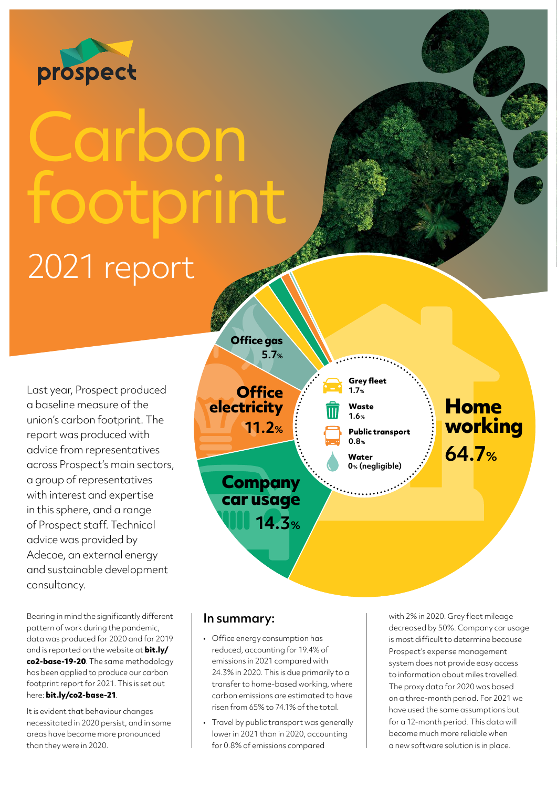

## Carbon footprint 2021 report

Last year, Prospect produced a baseline measure of the union's carbon footprint. The report was produced with advice from representatives across Prospect's main sectors, a group of representatives with interest and expertise in this sphere, and a range of Prospect staff. Technical advice was provided by Adecoe, an external energy and sustainable development consultancy.

Bearing in mind the significantly different pattern of work during the pandemic, data was produced for 2020 and for 2019 and is reported on the website at **[bit.ly/](http://bit.ly/co2-base-19-20) [co2-base-19-20](http://bit.ly/co2-base-19-20)**. The same methodology has been applied to produce our carbon footprint report for 2021. This is set out here: **[bit.ly/co2-base-21](http://bit.ly/co2-base-21)**.

It is evident that behaviour changes necessitated in 2020 persist, and in some areas have become more pronounced than they were in 2020.



## In summary:

- Office energy consumption has reduced, accounting for 19.4% of emissions in 2021 compared with 24.3% in 2020. This is due primarily to a transfer to home-based working, where carbon emissions are estimated to have risen from 65% to 74.1% of the total.
- Travel by public transport was generally lower in 2021 than in 2020, accounting for 0.8% of emissions compared

with 2% in 2020. Grey fleet mileage decreased by 50%. Company car usage is most difficult to determine because Prospect's expense management system does not provide easy access to information about miles travelled. The proxy data for 2020 was based on a three-month period. For 2021 we have used the same assumptions but for a 12-month period. This data will become much more reliable when a new software solution is in place.